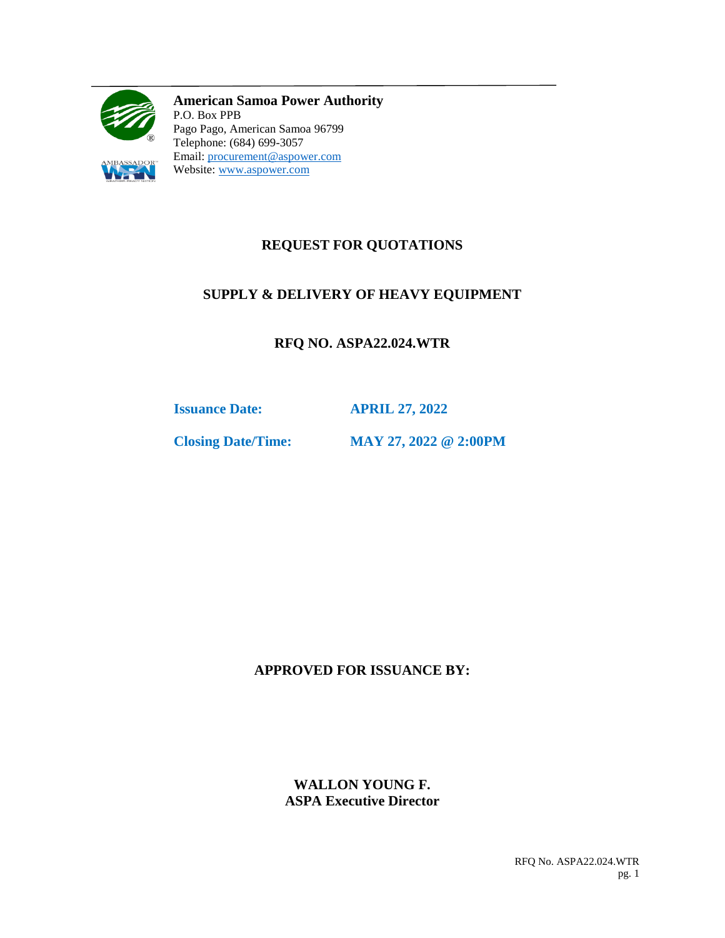

**American Samoa Power Authority** P.O. Box PPB Pago Pago, American Samoa 96799 Telephone: (684) 699-3057 Email: [procurement@aspower.com](mailto:procurement@aspower.com) Website: [www.aspower.com](http://www.aspower.com/)

# **REQUEST FOR QUOTATIONS**

# **SUPPLY & DELIVERY OF HEAVY EQUIPMENT**

**RFQ NO. ASPA22.024.WTR**

**Issuance Date: APRIL 27, 2022**

**Closing Date/Time: MAY 27, 2022 @ 2:00PM**

**APPROVED FOR ISSUANCE BY:**

**WALLON YOUNG F. ASPA Executive Director**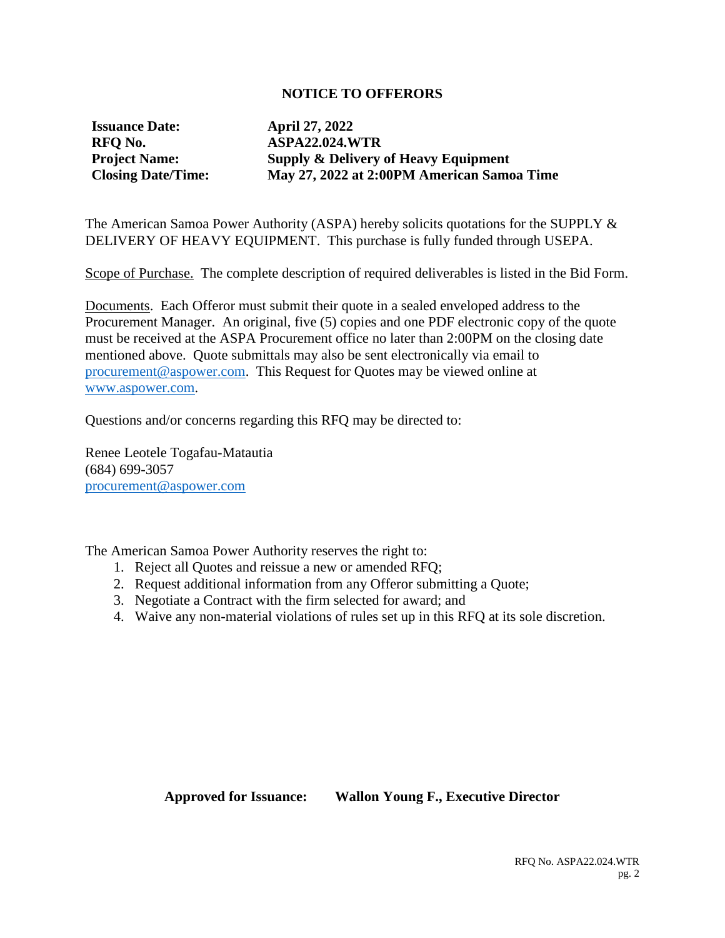### **NOTICE TO OFFERORS**

**Issuance Date: April 27, 2022**

**RFQ No. ASPA22.024.WTR Project Name: Supply & Delivery of Heavy Equipment Closing Date/Time: May 27, 2022 at 2:00PM American Samoa Time**

The American Samoa Power Authority (ASPA) hereby solicits quotations for the SUPPLY & DELIVERY OF HEAVY EQUIPMENT. This purchase is fully funded through USEPA.

Scope of Purchase. The complete description of required deliverables is listed in the Bid Form.

Documents. Each Offeror must submit their quote in a sealed enveloped address to the Procurement Manager. An original, five (5) copies and one PDF electronic copy of the quote must be received at the ASPA Procurement office no later than 2:00PM on the closing date mentioned above. Quote submittals may also be sent electronically via email to [procurement@aspower.com.](mailto:procurement@aspower.com) This Request for Quotes may be viewed online at [www.aspower.com.](http://www.aspower.com/)

Questions and/or concerns regarding this RFQ may be directed to:

Renee Leotele Togafau-Matautia (684) 699-3057 [procurement@aspower.com](mailto:procurement@aspower.com)

The American Samoa Power Authority reserves the right to:

- 1. Reject all Quotes and reissue a new or amended RFQ;
- 2. Request additional information from any Offeror submitting a Quote;
- 3. Negotiate a Contract with the firm selected for award; and
- 4. Waive any non-material violations of rules set up in this RFQ at its sole discretion.

### **Approved for Issuance: Wallon Young F., Executive Director**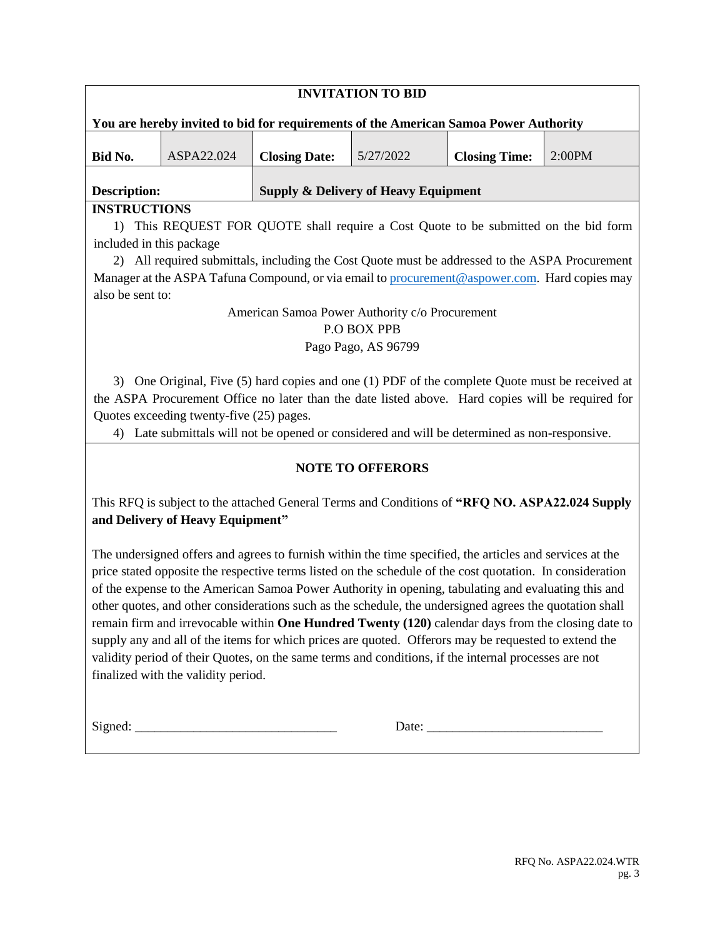| <b>INVITATION TO BID</b>                                                                          |            |                      |           |                      |        |
|---------------------------------------------------------------------------------------------------|------------|----------------------|-----------|----------------------|--------|
| You are hereby invited to bid for requirements of the American Samoa Power Authority              |            |                      |           |                      |        |
|                                                                                                   | ASPA22.024 |                      | 5/27/2022 |                      | 2:00PM |
| Bid No.                                                                                           |            | <b>Closing Date:</b> |           | <b>Closing Time:</b> |        |
|                                                                                                   |            |                      |           |                      |        |
| <b>Supply &amp; Delivery of Heavy Equipment</b><br>Description:                                   |            |                      |           |                      |        |
| <b>INSTRUCTIONS</b>                                                                               |            |                      |           |                      |        |
| 1) This REQUEST FOR QUOTE shall require a Cost Quote to be submitted on the bid form              |            |                      |           |                      |        |
| included in this package.                                                                         |            |                      |           |                      |        |
| All required submittals, including the Cost Quote must be addressed to the ASPA Procurement<br>2) |            |                      |           |                      |        |
| Manager at the ASPA Tafuna Compound, or via email to procurement@aspower.com. Hard copies may     |            |                      |           |                      |        |
| also be sent to:                                                                                  |            |                      |           |                      |        |
| American Samoa Power Authority c/o Procurement                                                    |            |                      |           |                      |        |

#### P.O BOX PPB

### Pago Pago, AS 96799

3) One Original, Five (5) hard copies and one (1) PDF of the complete Quote must be received at the ASPA Procurement Office no later than the date listed above. Hard copies will be required for Quotes exceeding twenty-five (25) pages.

4) Late submittals will not be opened or considered and will be determined as non-responsive.

## **NOTE TO OFFERORS**

This RFQ is subject to the attached General Terms and Conditions of **"RFQ NO. ASPA22.024 Supply and Delivery of Heavy Equipment"**

The undersigned offers and agrees to furnish within the time specified, the articles and services at the price stated opposite the respective terms listed on the schedule of the cost quotation. In consideration of the expense to the American Samoa Power Authority in opening, tabulating and evaluating this and other quotes, and other considerations such as the schedule, the undersigned agrees the quotation shall remain firm and irrevocable within **One Hundred Twenty (120)** calendar days from the closing date to supply any and all of the items for which prices are quoted. Offerors may be requested to extend the validity period of their Quotes, on the same terms and conditions, if the internal processes are not finalized with the validity period.

 $Signed:$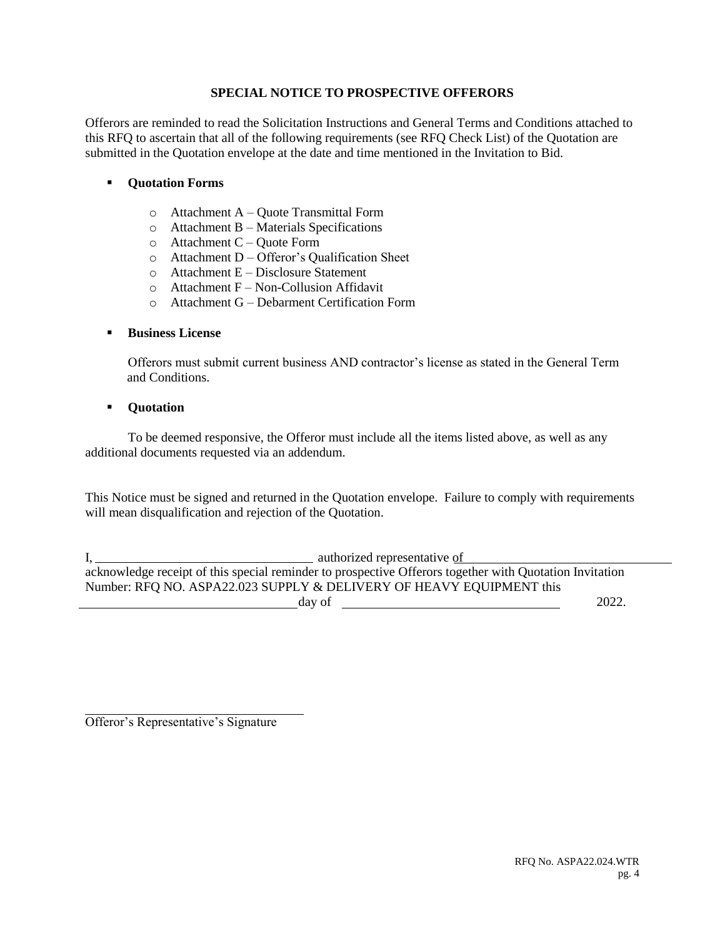#### **SPECIAL NOTICE TO PROSPECTIVE OFFERORS**

Offerors are reminded to read the Solicitation Instructions and General Terms and Conditions attached to this RFQ to ascertain that all of the following requirements (see RFQ Check List) of the Quotation are submitted in the Quotation envelope at the date and time mentioned in the Invitation to Bid.

### **Quotation Forms**

- o Attachment A Quote Transmittal Form
- o Attachment B Materials Specifications
- o Attachment C Quote Form
- o Attachment D Offeror's Qualification Sheet
- o Attachment E Disclosure Statement
- $\circ$  Attachment F Non-Collusion Affidavit
- o Attachment G Debarment Certification Form

### **Business License**

Offerors must submit current business AND contractor's license as stated in the General Term and Conditions.

#### **Quotation**

To be deemed responsive, the Offeror must include all the items listed above, as well as any additional documents requested via an addendum.

This Notice must be signed and returned in the Quotation envelope. Failure to comply with requirements will mean disqualification and rejection of the Quotation.

I, authorized representative of acknowledge receipt of this special reminder to prospective Offerors together with Quotation Invitation Number: RFQ NO. ASPA22.023 SUPPLY & DELIVERY OF HEAVY EQUIPMENT this  $\frac{day \text{ of } 2022.}{$ 

Offeror's Representative's Signature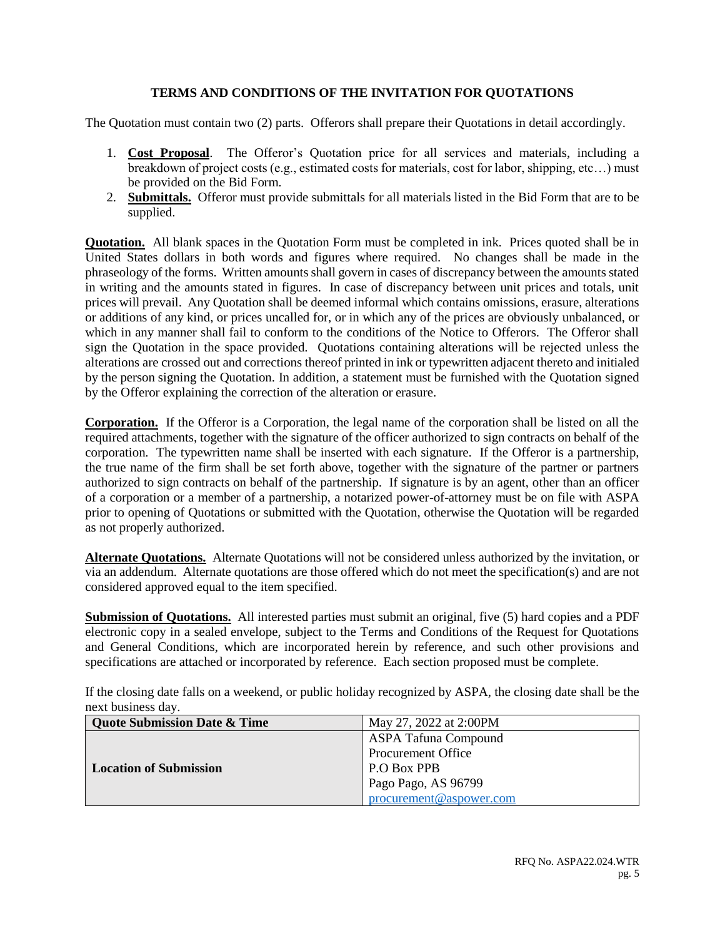#### **TERMS AND CONDITIONS OF THE INVITATION FOR QUOTATIONS**

The Quotation must contain two (2) parts. Offerors shall prepare their Quotations in detail accordingly.

- 1. **Cost Proposal**. The Offeror's Quotation price for all services and materials, including a breakdown of project costs (e.g., estimated costs for materials, cost for labor, shipping, etc…) must be provided on the Bid Form.
- 2. **Submittals.** Offeror must provide submittals for all materials listed in the Bid Form that are to be supplied.

**Quotation.** All blank spaces in the Quotation Form must be completed in ink. Prices quoted shall be in United States dollars in both words and figures where required. No changes shall be made in the phraseology of the forms. Written amounts shall govern in cases of discrepancy between the amounts stated in writing and the amounts stated in figures. In case of discrepancy between unit prices and totals, unit prices will prevail. Any Quotation shall be deemed informal which contains omissions, erasure, alterations or additions of any kind, or prices uncalled for, or in which any of the prices are obviously unbalanced, or which in any manner shall fail to conform to the conditions of the Notice to Offerors. The Offeror shall sign the Quotation in the space provided. Quotations containing alterations will be rejected unless the alterations are crossed out and corrections thereof printed in ink or typewritten adjacent thereto and initialed by the person signing the Quotation. In addition, a statement must be furnished with the Quotation signed by the Offeror explaining the correction of the alteration or erasure.

**Corporation.** If the Offeror is a Corporation, the legal name of the corporation shall be listed on all the required attachments, together with the signature of the officer authorized to sign contracts on behalf of the corporation. The typewritten name shall be inserted with each signature. If the Offeror is a partnership, the true name of the firm shall be set forth above, together with the signature of the partner or partners authorized to sign contracts on behalf of the partnership. If signature is by an agent, other than an officer of a corporation or a member of a partnership, a notarized power-of-attorney must be on file with ASPA prior to opening of Quotations or submitted with the Quotation, otherwise the Quotation will be regarded as not properly authorized.

**Alternate Quotations.** Alternate Quotations will not be considered unless authorized by the invitation, or via an addendum. Alternate quotations are those offered which do not meet the specification(s) and are not considered approved equal to the item specified.

**Submission of Quotations.** All interested parties must submit an original, five (5) hard copies and a PDF electronic copy in a sealed envelope, subject to the Terms and Conditions of the Request for Quotations and General Conditions, which are incorporated herein by reference, and such other provisions and specifications are attached or incorporated by reference. Each section proposed must be complete.

If the closing date falls on a weekend, or public holiday recognized by ASPA, the closing date shall be the next business day.

| <b>Quote Submission Date &amp; Time</b> | May 27, 2022 at 2:00PM      |  |
|-----------------------------------------|-----------------------------|--|
|                                         | <b>ASPA Tafuna Compound</b> |  |
|                                         | <b>Procurement Office</b>   |  |
| <b>Location of Submission</b>           | P.O Box PPB                 |  |
|                                         | Pago Pago, AS 96799         |  |
|                                         | procurement@aspower.com     |  |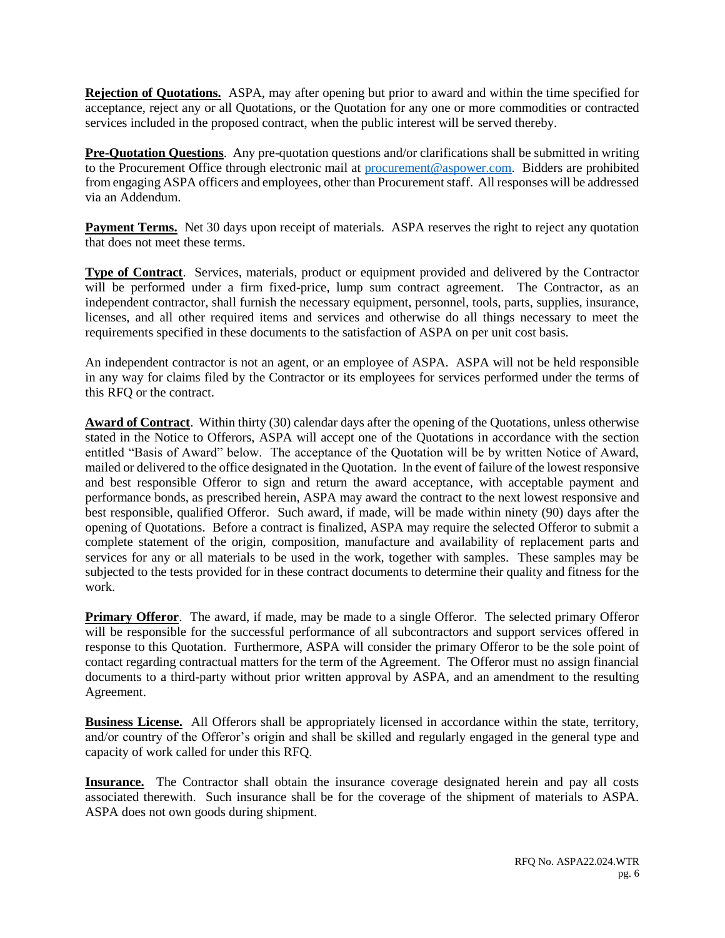**Rejection of Quotations.** ASPA, may after opening but prior to award and within the time specified for acceptance, reject any or all Quotations, or the Quotation for any one or more commodities or contracted services included in the proposed contract, when the public interest will be served thereby.

**Pre-Quotation Questions**. Any pre-quotation questions and/or clarifications shall be submitted in writing to the Procurement Office through electronic mail at [procurement@aspower.com.](mailto:procurement@aspower.com) Bidders are prohibited from engaging ASPA officers and employees, other than Procurement staff. All responses will be addressed via an Addendum.

**Payment Terms.** Net 30 days upon receipt of materials. ASPA reserves the right to reject any quotation that does not meet these terms.

**Type of Contract**. Services, materials, product or equipment provided and delivered by the Contractor will be performed under a firm fixed-price, lump sum contract agreement. The Contractor, as an independent contractor, shall furnish the necessary equipment, personnel, tools, parts, supplies, insurance, licenses, and all other required items and services and otherwise do all things necessary to meet the requirements specified in these documents to the satisfaction of ASPA on per unit cost basis.

An independent contractor is not an agent, or an employee of ASPA. ASPA will not be held responsible in any way for claims filed by the Contractor or its employees for services performed under the terms of this RFQ or the contract.

**Award of Contract**. Within thirty (30) calendar days after the opening of the Quotations, unless otherwise stated in the Notice to Offerors, ASPA will accept one of the Quotations in accordance with the section entitled "Basis of Award" below. The acceptance of the Quotation will be by written Notice of Award, mailed or delivered to the office designated in the Quotation. In the event of failure of the lowest responsive and best responsible Offeror to sign and return the award acceptance, with acceptable payment and performance bonds, as prescribed herein, ASPA may award the contract to the next lowest responsive and best responsible, qualified Offeror. Such award, if made, will be made within ninety (90) days after the opening of Quotations. Before a contract is finalized, ASPA may require the selected Offeror to submit a complete statement of the origin, composition, manufacture and availability of replacement parts and services for any or all materials to be used in the work, together with samples. These samples may be subjected to the tests provided for in these contract documents to determine their quality and fitness for the work.

**Primary Offeror.** The award, if made, may be made to a single Offeror. The selected primary Offeror will be responsible for the successful performance of all subcontractors and support services offered in response to this Quotation. Furthermore, ASPA will consider the primary Offeror to be the sole point of contact regarding contractual matters for the term of the Agreement. The Offeror must no assign financial documents to a third-party without prior written approval by ASPA, and an amendment to the resulting Agreement.

**Business License.** All Offerors shall be appropriately licensed in accordance within the state, territory, and/or country of the Offeror's origin and shall be skilled and regularly engaged in the general type and capacity of work called for under this RFQ.

**Insurance.** The Contractor shall obtain the insurance coverage designated herein and pay all costs associated therewith. Such insurance shall be for the coverage of the shipment of materials to ASPA. ASPA does not own goods during shipment.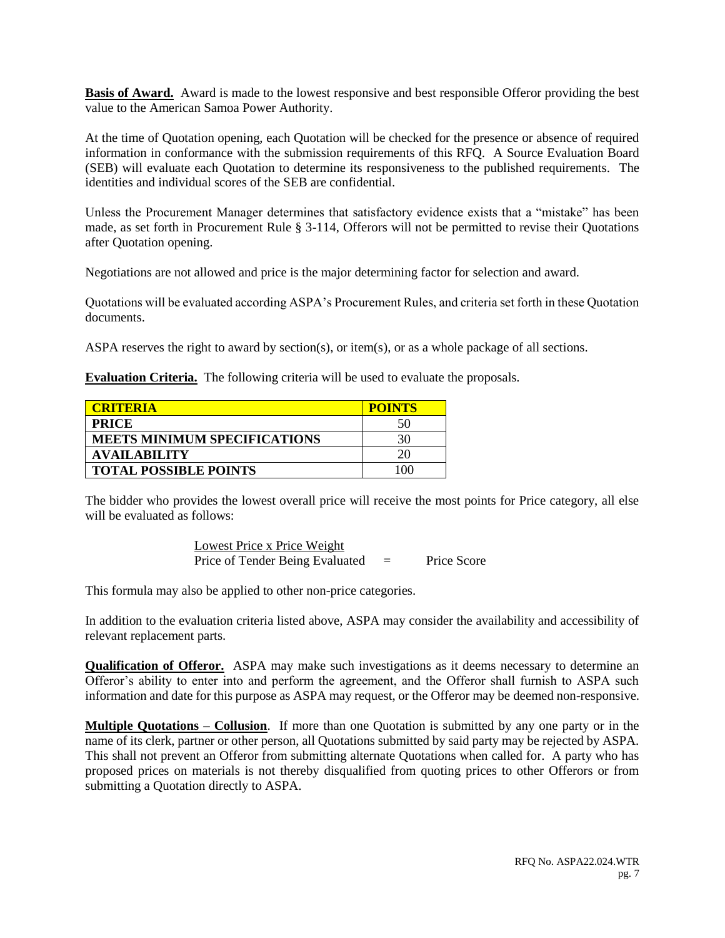**Basis of Award.** Award is made to the lowest responsive and best responsible Offeror providing the best value to the American Samoa Power Authority.

At the time of Quotation opening, each Quotation will be checked for the presence or absence of required information in conformance with the submission requirements of this RFQ. A Source Evaluation Board (SEB) will evaluate each Quotation to determine its responsiveness to the published requirements. The identities and individual scores of the SEB are confidential.

Unless the Procurement Manager determines that satisfactory evidence exists that a "mistake" has been made, as set forth in Procurement Rule § 3-114, Offerors will not be permitted to revise their Quotations after Quotation opening.

Negotiations are not allowed and price is the major determining factor for selection and award.

Quotations will be evaluated according ASPA's Procurement Rules, and criteria set forth in these Quotation documents.

ASPA reserves the right to award by section(s), or item(s), or as a whole package of all sections.

**Evaluation Criteria.** The following criteria will be used to evaluate the proposals.

| <b>CRITERIA</b>                     | <b>POINTS</b> |
|-------------------------------------|---------------|
| <b>PRICE</b>                        | 50            |
| <b>MEETS MINIMUM SPECIFICATIONS</b> | 30            |
| <b>AVAILABILITY</b>                 |               |
| <b>TOTAL POSSIBLE POINTS</b>        |               |

The bidder who provides the lowest overall price will receive the most points for Price category, all else will be evaluated as follows:

> Lowest Price x Price Weight Price of Tender Being Evaluated = Price Score

This formula may also be applied to other non-price categories.

In addition to the evaluation criteria listed above, ASPA may consider the availability and accessibility of relevant replacement parts.

**Qualification of Offeror.** ASPA may make such investigations as it deems necessary to determine an Offeror's ability to enter into and perform the agreement, and the Offeror shall furnish to ASPA such information and date for this purpose as ASPA may request, or the Offeror may be deemed non-responsive.

**Multiple Quotations – Collusion**. If more than one Quotation is submitted by any one party or in the name of its clerk, partner or other person, all Quotations submitted by said party may be rejected by ASPA. This shall not prevent an Offeror from submitting alternate Quotations when called for. A party who has proposed prices on materials is not thereby disqualified from quoting prices to other Offerors or from submitting a Quotation directly to ASPA.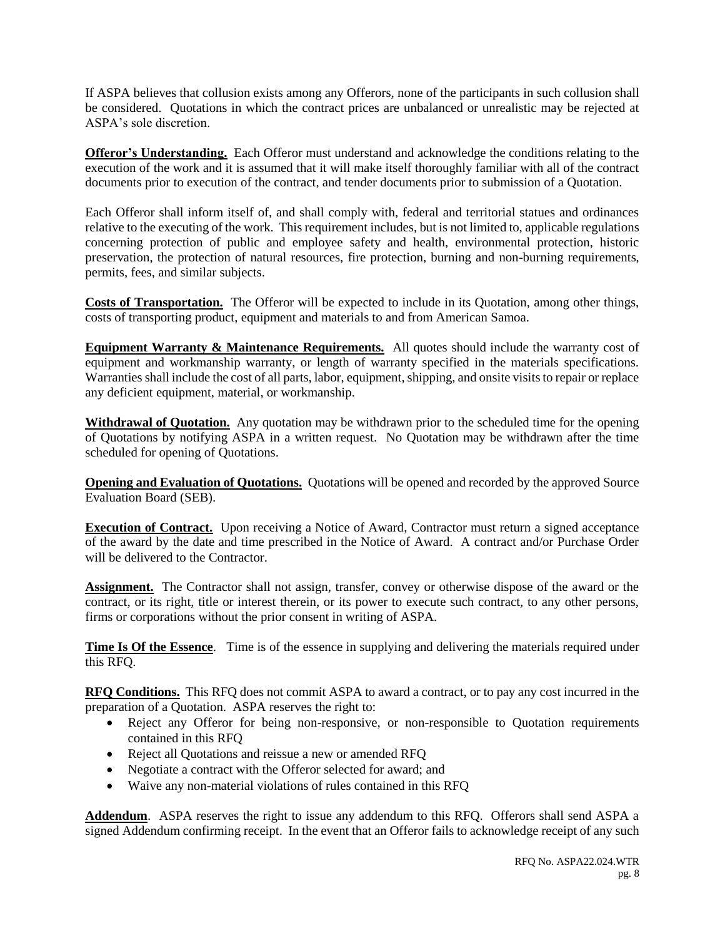If ASPA believes that collusion exists among any Offerors, none of the participants in such collusion shall be considered. Quotations in which the contract prices are unbalanced or unrealistic may be rejected at ASPA's sole discretion.

**Offeror's Understanding.** Each Offeror must understand and acknowledge the conditions relating to the execution of the work and it is assumed that it will make itself thoroughly familiar with all of the contract documents prior to execution of the contract, and tender documents prior to submission of a Quotation.

Each Offeror shall inform itself of, and shall comply with, federal and territorial statues and ordinances relative to the executing of the work. This requirement includes, but is not limited to, applicable regulations concerning protection of public and employee safety and health, environmental protection, historic preservation, the protection of natural resources, fire protection, burning and non-burning requirements, permits, fees, and similar subjects.

**Costs of Transportation.** The Offeror will be expected to include in its Quotation, among other things, costs of transporting product, equipment and materials to and from American Samoa.

**Equipment Warranty & Maintenance Requirements.** All quotes should include the warranty cost of equipment and workmanship warranty, or length of warranty specified in the materials specifications. Warranties shall include the cost of all parts, labor, equipment, shipping, and onsite visits to repair or replace any deficient equipment, material, or workmanship.

**Withdrawal of Quotation.** Any quotation may be withdrawn prior to the scheduled time for the opening of Quotations by notifying ASPA in a written request. No Quotation may be withdrawn after the time scheduled for opening of Quotations.

**Opening and Evaluation of Quotations.** Quotations will be opened and recorded by the approved Source Evaluation Board (SEB).

**Execution of Contract.** Upon receiving a Notice of Award, Contractor must return a signed acceptance of the award by the date and time prescribed in the Notice of Award. A contract and/or Purchase Order will be delivered to the Contractor.

**Assignment.** The Contractor shall not assign, transfer, convey or otherwise dispose of the award or the contract, or its right, title or interest therein, or its power to execute such contract, to any other persons, firms or corporations without the prior consent in writing of ASPA.

**Time Is Of the Essence**. Time is of the essence in supplying and delivering the materials required under this RFQ.

**RFQ Conditions.** This RFQ does not commit ASPA to award a contract, or to pay any cost incurred in the preparation of a Quotation. ASPA reserves the right to:

- Reject any Offeror for being non-responsive, or non-responsible to Quotation requirements contained in this RFQ
- Reject all Quotations and reissue a new or amended RFQ
- Negotiate a contract with the Offeror selected for award; and
- Waive any non-material violations of rules contained in this RFQ

**Addendum**. ASPA reserves the right to issue any addendum to this RFQ. Offerors shall send ASPA a signed Addendum confirming receipt. In the event that an Offeror fails to acknowledge receipt of any such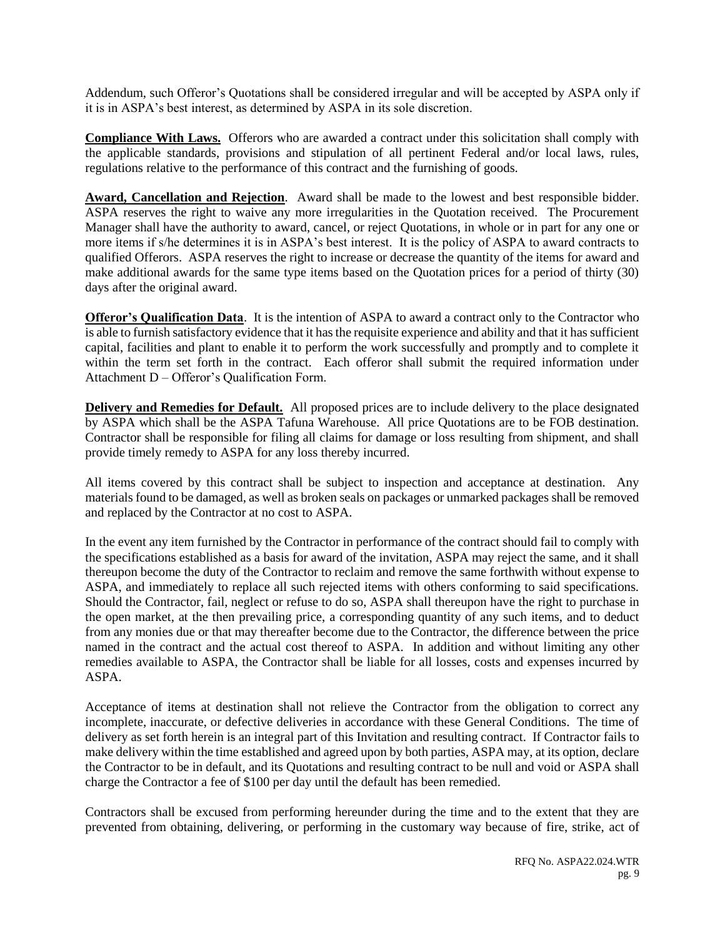Addendum, such Offeror's Quotations shall be considered irregular and will be accepted by ASPA only if it is in ASPA's best interest, as determined by ASPA in its sole discretion.

**Compliance With Laws.** Offerors who are awarded a contract under this solicitation shall comply with the applicable standards, provisions and stipulation of all pertinent Federal and/or local laws, rules, regulations relative to the performance of this contract and the furnishing of goods.

**Award, Cancellation and Rejection**. Award shall be made to the lowest and best responsible bidder. ASPA reserves the right to waive any more irregularities in the Quotation received. The Procurement Manager shall have the authority to award, cancel, or reject Quotations, in whole or in part for any one or more items if s/he determines it is in ASPA's best interest. It is the policy of ASPA to award contracts to qualified Offerors. ASPA reserves the right to increase or decrease the quantity of the items for award and make additional awards for the same type items based on the Quotation prices for a period of thirty (30) days after the original award.

**Offeror's Qualification Data**. It is the intention of ASPA to award a contract only to the Contractor who is able to furnish satisfactory evidence that it has the requisite experience and ability and that it has sufficient capital, facilities and plant to enable it to perform the work successfully and promptly and to complete it within the term set forth in the contract. Each offeror shall submit the required information under Attachment D – Offeror's Qualification Form.

**Delivery and Remedies for Default.** All proposed prices are to include delivery to the place designated by ASPA which shall be the ASPA Tafuna Warehouse. All price Quotations are to be FOB destination. Contractor shall be responsible for filing all claims for damage or loss resulting from shipment, and shall provide timely remedy to ASPA for any loss thereby incurred.

All items covered by this contract shall be subject to inspection and acceptance at destination. Any materials found to be damaged, as well as broken seals on packages or unmarked packages shall be removed and replaced by the Contractor at no cost to ASPA.

In the event any item furnished by the Contractor in performance of the contract should fail to comply with the specifications established as a basis for award of the invitation, ASPA may reject the same, and it shall thereupon become the duty of the Contractor to reclaim and remove the same forthwith without expense to ASPA, and immediately to replace all such rejected items with others conforming to said specifications. Should the Contractor, fail, neglect or refuse to do so, ASPA shall thereupon have the right to purchase in the open market, at the then prevailing price, a corresponding quantity of any such items, and to deduct from any monies due or that may thereafter become due to the Contractor, the difference between the price named in the contract and the actual cost thereof to ASPA. In addition and without limiting any other remedies available to ASPA, the Contractor shall be liable for all losses, costs and expenses incurred by ASPA.

Acceptance of items at destination shall not relieve the Contractor from the obligation to correct any incomplete, inaccurate, or defective deliveries in accordance with these General Conditions. The time of delivery as set forth herein is an integral part of this Invitation and resulting contract. If Contractor fails to make delivery within the time established and agreed upon by both parties, ASPA may, at its option, declare the Contractor to be in default, and its Quotations and resulting contract to be null and void or ASPA shall charge the Contractor a fee of \$100 per day until the default has been remedied.

Contractors shall be excused from performing hereunder during the time and to the extent that they are prevented from obtaining, delivering, or performing in the customary way because of fire, strike, act of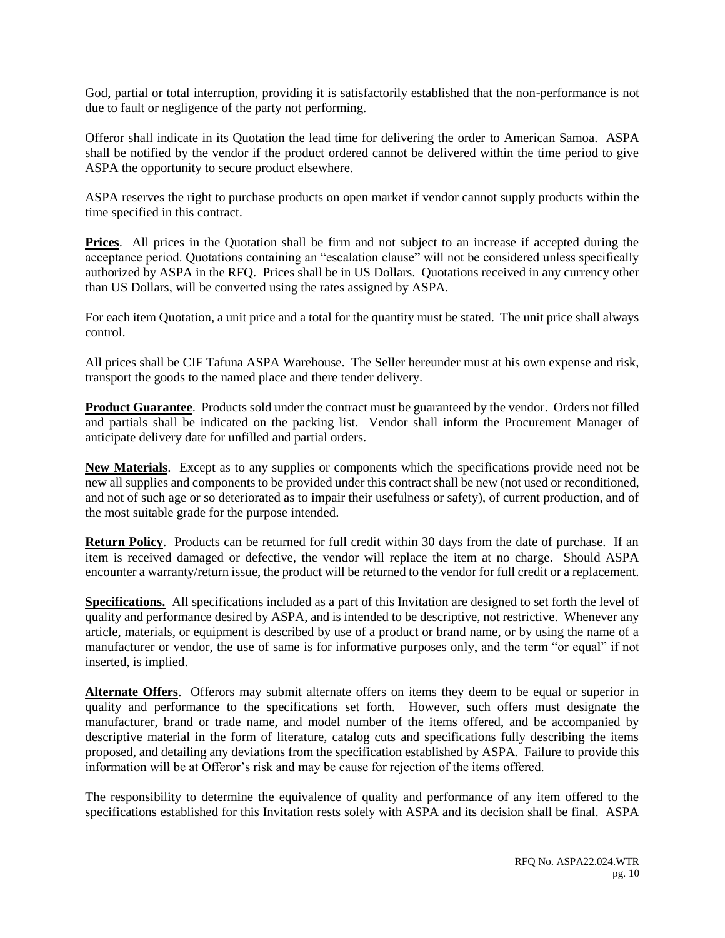God, partial or total interruption, providing it is satisfactorily established that the non-performance is not due to fault or negligence of the party not performing.

Offeror shall indicate in its Quotation the lead time for delivering the order to American Samoa. ASPA shall be notified by the vendor if the product ordered cannot be delivered within the time period to give ASPA the opportunity to secure product elsewhere.

ASPA reserves the right to purchase products on open market if vendor cannot supply products within the time specified in this contract.

**Prices**. All prices in the Quotation shall be firm and not subject to an increase if accepted during the acceptance period. Quotations containing an "escalation clause" will not be considered unless specifically authorized by ASPA in the RFQ. Prices shall be in US Dollars. Quotations received in any currency other than US Dollars, will be converted using the rates assigned by ASPA.

For each item Quotation, a unit price and a total for the quantity must be stated. The unit price shall always control.

All prices shall be CIF Tafuna ASPA Warehouse. The Seller hereunder must at his own expense and risk, transport the goods to the named place and there tender delivery.

**Product Guarantee**. Products sold under the contract must be guaranteed by the vendor. Orders not filled and partials shall be indicated on the packing list. Vendor shall inform the Procurement Manager of anticipate delivery date for unfilled and partial orders.

**New Materials**. Except as to any supplies or components which the specifications provide need not be new all supplies and components to be provided under this contract shall be new (not used or reconditioned, and not of such age or so deteriorated as to impair their usefulness or safety), of current production, and of the most suitable grade for the purpose intended.

**Return Policy**. Products can be returned for full credit within 30 days from the date of purchase. If an item is received damaged or defective, the vendor will replace the item at no charge. Should ASPA encounter a warranty/return issue, the product will be returned to the vendor for full credit or a replacement.

**Specifications.** All specifications included as a part of this Invitation are designed to set forth the level of quality and performance desired by ASPA, and is intended to be descriptive, not restrictive. Whenever any article, materials, or equipment is described by use of a product or brand name, or by using the name of a manufacturer or vendor, the use of same is for informative purposes only, and the term "or equal" if not inserted, is implied.

**Alternate Offers**. Offerors may submit alternate offers on items they deem to be equal or superior in quality and performance to the specifications set forth. However, such offers must designate the manufacturer, brand or trade name, and model number of the items offered, and be accompanied by descriptive material in the form of literature, catalog cuts and specifications fully describing the items proposed, and detailing any deviations from the specification established by ASPA. Failure to provide this information will be at Offeror's risk and may be cause for rejection of the items offered.

The responsibility to determine the equivalence of quality and performance of any item offered to the specifications established for this Invitation rests solely with ASPA and its decision shall be final. ASPA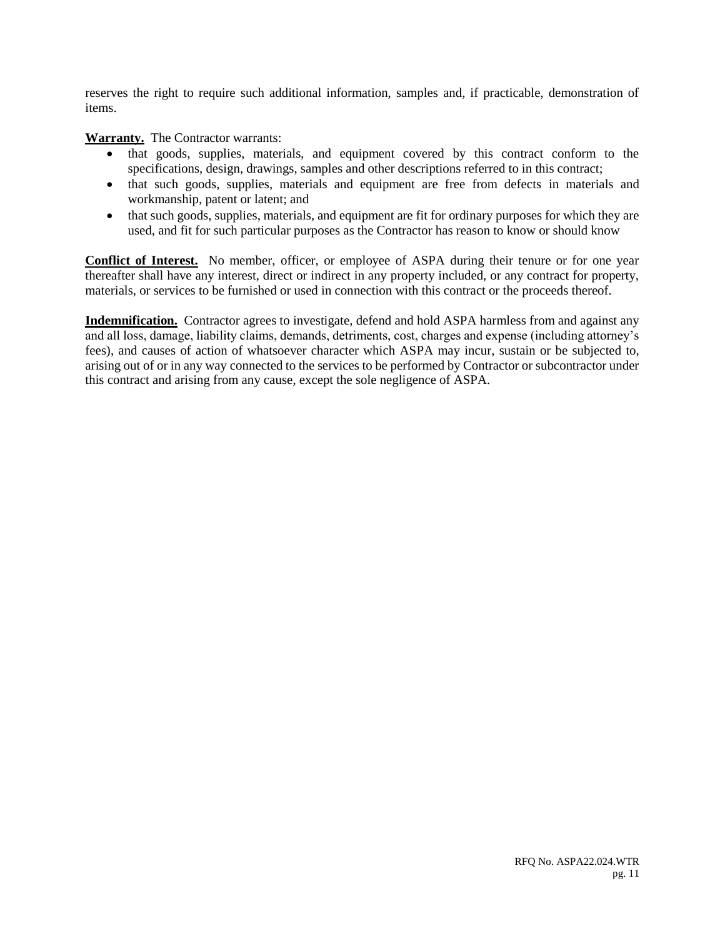reserves the right to require such additional information, samples and, if practicable, demonstration of items.

**Warranty.** The Contractor warrants:

- that goods, supplies, materials, and equipment covered by this contract conform to the specifications, design, drawings, samples and other descriptions referred to in this contract;
- that such goods, supplies, materials and equipment are free from defects in materials and workmanship, patent or latent; and
- that such goods, supplies, materials, and equipment are fit for ordinary purposes for which they are used, and fit for such particular purposes as the Contractor has reason to know or should know

**Conflict of Interest.** No member, officer, or employee of ASPA during their tenure or for one year thereafter shall have any interest, direct or indirect in any property included, or any contract for property, materials, or services to be furnished or used in connection with this contract or the proceeds thereof.

**Indemnification.** Contractor agrees to investigate, defend and hold ASPA harmless from and against any and all loss, damage, liability claims, demands, detriments, cost, charges and expense (including attorney's fees), and causes of action of whatsoever character which ASPA may incur, sustain or be subjected to, arising out of or in any way connected to the services to be performed by Contractor or subcontractor under this contract and arising from any cause, except the sole negligence of ASPA.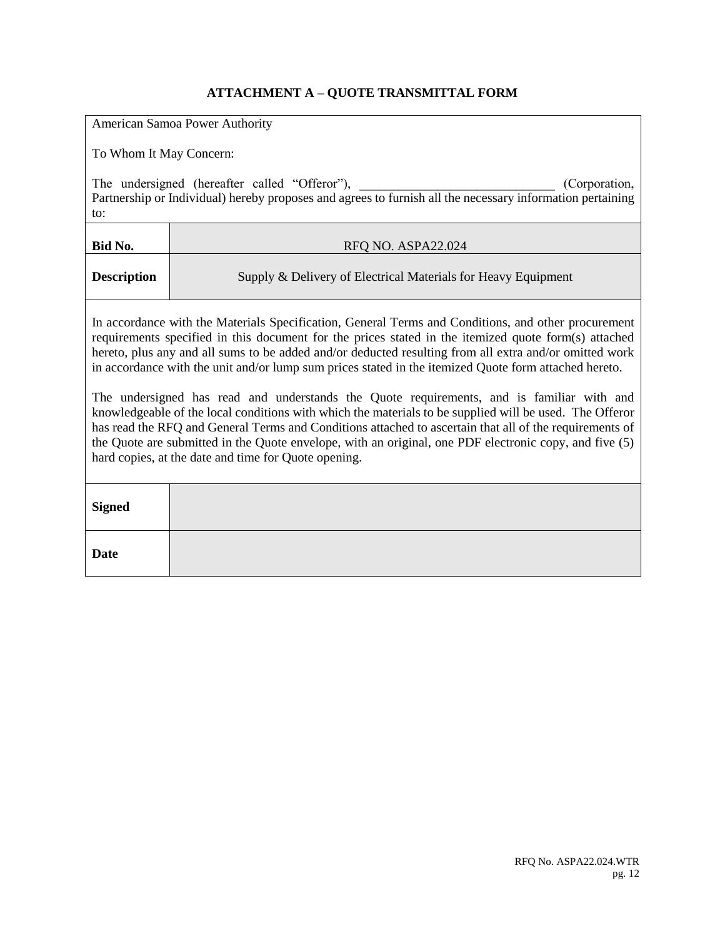# **ATTACHMENT A – QUOTE TRANSMITTAL FORM**

| American Samoa Power Authority                                                                                                                                                                                                                                                                                                                                                                                                                                                                                                                                                                                                                                                                                                                                                                                                                                                                                      |                                                                                                                                                                             |  |  |  |
|---------------------------------------------------------------------------------------------------------------------------------------------------------------------------------------------------------------------------------------------------------------------------------------------------------------------------------------------------------------------------------------------------------------------------------------------------------------------------------------------------------------------------------------------------------------------------------------------------------------------------------------------------------------------------------------------------------------------------------------------------------------------------------------------------------------------------------------------------------------------------------------------------------------------|-----------------------------------------------------------------------------------------------------------------------------------------------------------------------------|--|--|--|
|                                                                                                                                                                                                                                                                                                                                                                                                                                                                                                                                                                                                                                                                                                                                                                                                                                                                                                                     | To Whom It May Concern:                                                                                                                                                     |  |  |  |
| to:                                                                                                                                                                                                                                                                                                                                                                                                                                                                                                                                                                                                                                                                                                                                                                                                                                                                                                                 | The undersigned (hereafter called "Offeror"),<br>(Corporation,<br>Partnership or Individual) hereby proposes and agrees to furnish all the necessary information pertaining |  |  |  |
| Bid No.                                                                                                                                                                                                                                                                                                                                                                                                                                                                                                                                                                                                                                                                                                                                                                                                                                                                                                             | RFQ NO. ASPA22.024                                                                                                                                                          |  |  |  |
| <b>Description</b>                                                                                                                                                                                                                                                                                                                                                                                                                                                                                                                                                                                                                                                                                                                                                                                                                                                                                                  | Supply & Delivery of Electrical Materials for Heavy Equipment                                                                                                               |  |  |  |
| In accordance with the Materials Specification, General Terms and Conditions, and other procurement<br>requirements specified in this document for the prices stated in the itemized quote form(s) attached<br>hereto, plus any and all sums to be added and/or deducted resulting from all extra and/or omitted work<br>in accordance with the unit and/or lump sum prices stated in the itemized Quote form attached hereto.<br>The undersigned has read and understands the Quote requirements, and is familiar with and<br>knowledgeable of the local conditions with which the materials to be supplied will be used. The Offeror<br>has read the RFQ and General Terms and Conditions attached to ascertain that all of the requirements of<br>the Quote are submitted in the Quote envelope, with an original, one PDF electronic copy, and five (5)<br>hard copies, at the date and time for Quote opening. |                                                                                                                                                                             |  |  |  |
| <b>Signed</b>                                                                                                                                                                                                                                                                                                                                                                                                                                                                                                                                                                                                                                                                                                                                                                                                                                                                                                       |                                                                                                                                                                             |  |  |  |
| <b>Date</b>                                                                                                                                                                                                                                                                                                                                                                                                                                                                                                                                                                                                                                                                                                                                                                                                                                                                                                         |                                                                                                                                                                             |  |  |  |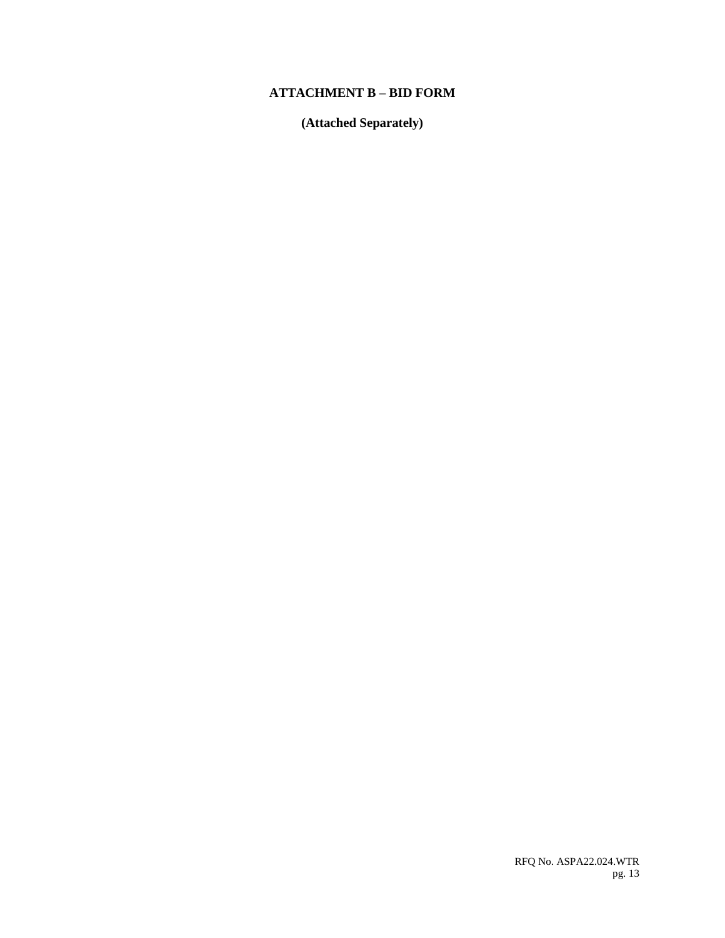### **ATTACHMENT B – BID FORM**

**(Attached Separately)**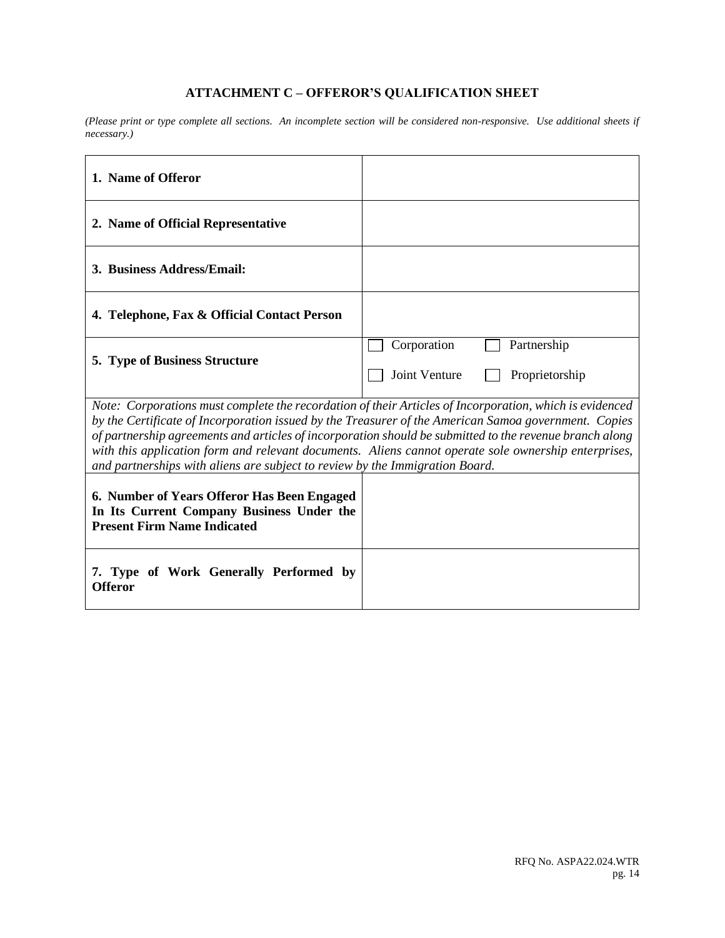# **ATTACHMENT C – OFFEROR'S QUALIFICATION SHEET**

*(Please print or type complete all sections. An incomplete section will be considered non-responsive. Use additional sheets if necessary.)*

| 1. Name of Offeror                                                                                                                                                                                                                                                                                                                                                                                                                                                                                                 |                                                               |  |  |
|--------------------------------------------------------------------------------------------------------------------------------------------------------------------------------------------------------------------------------------------------------------------------------------------------------------------------------------------------------------------------------------------------------------------------------------------------------------------------------------------------------------------|---------------------------------------------------------------|--|--|
| 2. Name of Official Representative                                                                                                                                                                                                                                                                                                                                                                                                                                                                                 |                                                               |  |  |
| 3. Business Address/Email:                                                                                                                                                                                                                                                                                                                                                                                                                                                                                         |                                                               |  |  |
| 4. Telephone, Fax & Official Contact Person                                                                                                                                                                                                                                                                                                                                                                                                                                                                        |                                                               |  |  |
| 5. Type of Business Structure                                                                                                                                                                                                                                                                                                                                                                                                                                                                                      | Corporation<br>Partnership<br>Joint Venture<br>Proprietorship |  |  |
| Note: Corporations must complete the recordation of their Articles of Incorporation, which is evidenced<br>by the Certificate of Incorporation issued by the Treasurer of the American Samoa government. Copies<br>of partnership agreements and articles of incorporation should be submitted to the revenue branch along<br>with this application form and relevant documents. Aliens cannot operate sole ownership enterprises,<br>and partnerships with aliens are subject to review by the Immigration Board. |                                                               |  |  |
| 6. Number of Years Offeror Has Been Engaged<br>In Its Current Company Business Under the<br><b>Present Firm Name Indicated</b>                                                                                                                                                                                                                                                                                                                                                                                     |                                                               |  |  |
| 7. Type of Work Generally Performed by<br><b>Offeror</b>                                                                                                                                                                                                                                                                                                                                                                                                                                                           |                                                               |  |  |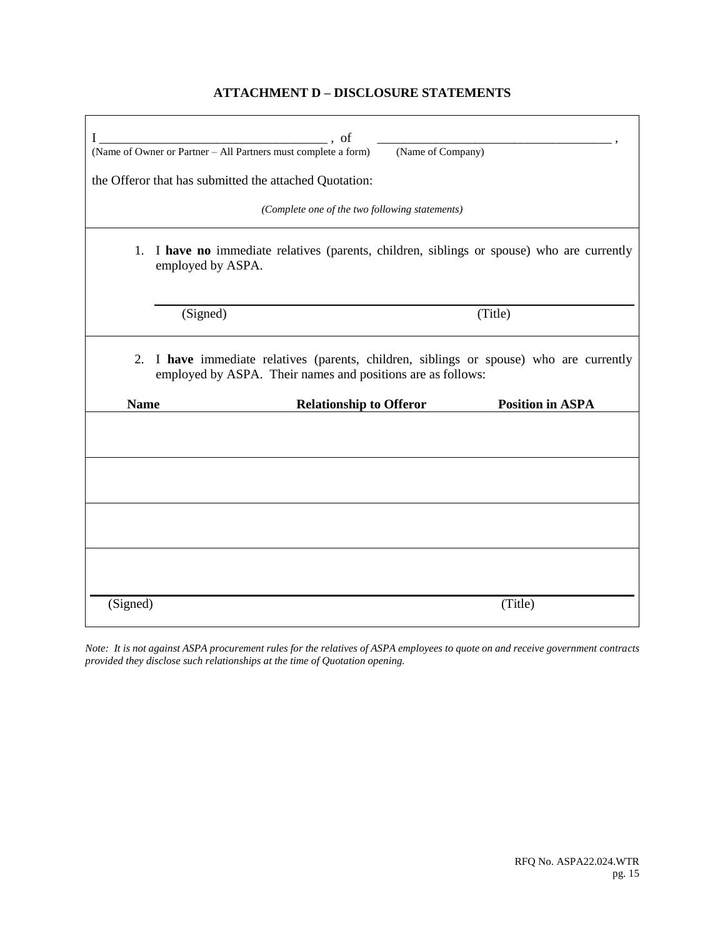### **ATTACHMENT D – DISCLOSURE STATEMENTS**

| I                                                                                                                                                      | , of<br>$\begin{array}{c} \begin{array}{c} \begin{array}{c} \begin{array}{c} \end{array} \\ \end{array} \end{array} \end{array}$<br>(Name of Owner or Partner – All Partners must complete a form)<br>the Offeror that has submitted the attached Quotation: | (Name of Company)       |  |  |  |
|--------------------------------------------------------------------------------------------------------------------------------------------------------|--------------------------------------------------------------------------------------------------------------------------------------------------------------------------------------------------------------------------------------------------------------|-------------------------|--|--|--|
|                                                                                                                                                        | (Complete one of the two following statements)                                                                                                                                                                                                               |                         |  |  |  |
|                                                                                                                                                        | 1. I have no immediate relatives (parents, children, siblings or spouse) who are currently<br>employed by ASPA.                                                                                                                                              |                         |  |  |  |
|                                                                                                                                                        | (Signed)                                                                                                                                                                                                                                                     | (Title)                 |  |  |  |
| 2. I have immediate relatives (parents, children, siblings or spouse) who are currently<br>employed by ASPA. Their names and positions are as follows: |                                                                                                                                                                                                                                                              |                         |  |  |  |
| <b>Name</b>                                                                                                                                            | <b>Relationship to Offeror</b>                                                                                                                                                                                                                               | <b>Position in ASPA</b> |  |  |  |
|                                                                                                                                                        |                                                                                                                                                                                                                                                              |                         |  |  |  |
|                                                                                                                                                        |                                                                                                                                                                                                                                                              |                         |  |  |  |
|                                                                                                                                                        |                                                                                                                                                                                                                                                              |                         |  |  |  |
| (Signed)                                                                                                                                               |                                                                                                                                                                                                                                                              | (Title)                 |  |  |  |

*Note: It is not against ASPA procurement rules for the relatives of ASPA employees to quote on and receive government contracts provided they disclose such relationships at the time of Quotation opening.*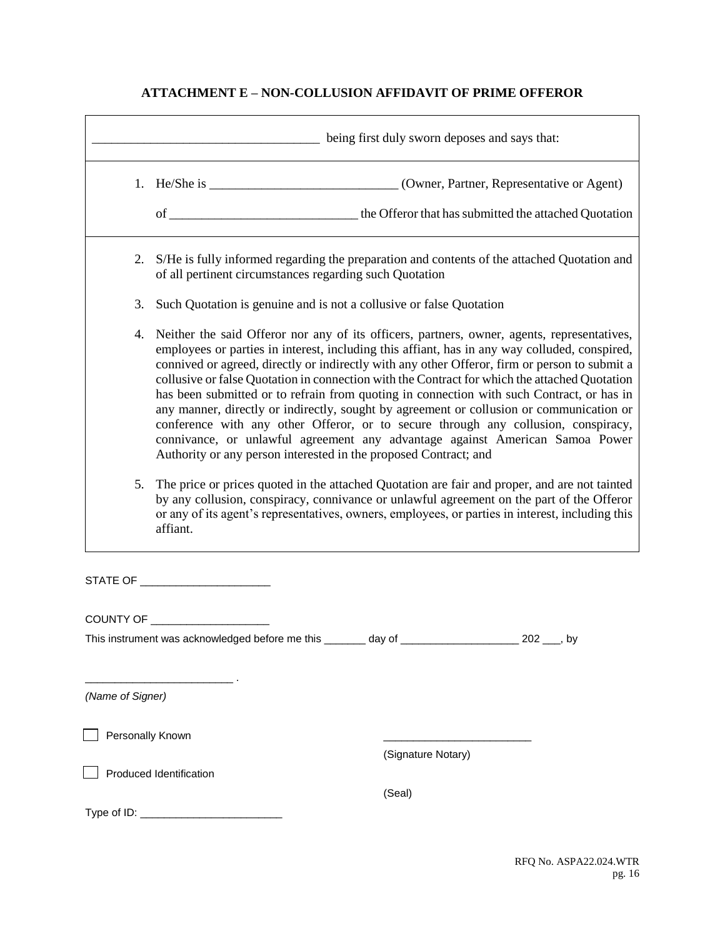# **ATTACHMENT E – NON-COLLUSION AFFIDAVIT OF PRIME OFFEROR**

|                  |                                                                                                                                                                                                                                                                                                                                                                                                                                                                                                                                                                                                                                                                                                                                                                                                                                   | being first duly sworn deposes and says that:                                                  |  |  |
|------------------|-----------------------------------------------------------------------------------------------------------------------------------------------------------------------------------------------------------------------------------------------------------------------------------------------------------------------------------------------------------------------------------------------------------------------------------------------------------------------------------------------------------------------------------------------------------------------------------------------------------------------------------------------------------------------------------------------------------------------------------------------------------------------------------------------------------------------------------|------------------------------------------------------------------------------------------------|--|--|
|                  |                                                                                                                                                                                                                                                                                                                                                                                                                                                                                                                                                                                                                                                                                                                                                                                                                                   | 1. He/She is __________________________________(Owner, Partner, Representative or Agent)       |  |  |
|                  |                                                                                                                                                                                                                                                                                                                                                                                                                                                                                                                                                                                                                                                                                                                                                                                                                                   |                                                                                                |  |  |
|                  | of all pertinent circumstances regarding such Quotation                                                                                                                                                                                                                                                                                                                                                                                                                                                                                                                                                                                                                                                                                                                                                                           | 2. S/He is fully informed regarding the preparation and contents of the attached Quotation and |  |  |
| 3.               | Such Quotation is genuine and is not a collusive or false Quotation                                                                                                                                                                                                                                                                                                                                                                                                                                                                                                                                                                                                                                                                                                                                                               |                                                                                                |  |  |
| 4.               | Neither the said Offeror nor any of its officers, partners, owner, agents, representatives,<br>employees or parties in interest, including this affiant, has in any way colluded, conspired,<br>connived or agreed, directly or indirectly with any other Offeror, firm or person to submit a<br>collusive or false Quotation in connection with the Contract for which the attached Quotation<br>has been submitted or to refrain from quoting in connection with such Contract, or has in<br>any manner, directly or indirectly, sought by agreement or collusion or communication or<br>conference with any other Offeror, or to secure through any collusion, conspiracy,<br>connivance, or unlawful agreement any advantage against American Samoa Power<br>Authority or any person interested in the proposed Contract; and |                                                                                                |  |  |
| 5.               | The price or prices quoted in the attached Quotation are fair and proper, and are not tainted<br>by any collusion, conspiracy, connivance or unlawful agreement on the part of the Offeror<br>or any of its agent's representatives, owners, employees, or parties in interest, including this<br>affiant.                                                                                                                                                                                                                                                                                                                                                                                                                                                                                                                        |                                                                                                |  |  |
|                  |                                                                                                                                                                                                                                                                                                                                                                                                                                                                                                                                                                                                                                                                                                                                                                                                                                   |                                                                                                |  |  |
|                  |                                                                                                                                                                                                                                                                                                                                                                                                                                                                                                                                                                                                                                                                                                                                                                                                                                   |                                                                                                |  |  |
|                  | This instrument was acknowledged before me this _______ day of _____________________ 202 ___, by                                                                                                                                                                                                                                                                                                                                                                                                                                                                                                                                                                                                                                                                                                                                  |                                                                                                |  |  |
| (Name of Signer) |                                                                                                                                                                                                                                                                                                                                                                                                                                                                                                                                                                                                                                                                                                                                                                                                                                   |                                                                                                |  |  |
| Personally Known |                                                                                                                                                                                                                                                                                                                                                                                                                                                                                                                                                                                                                                                                                                                                                                                                                                   |                                                                                                |  |  |
|                  | Produced Identification                                                                                                                                                                                                                                                                                                                                                                                                                                                                                                                                                                                                                                                                                                                                                                                                           | (Signature Notary)                                                                             |  |  |
|                  |                                                                                                                                                                                                                                                                                                                                                                                                                                                                                                                                                                                                                                                                                                                                                                                                                                   | (Seal)                                                                                         |  |  |